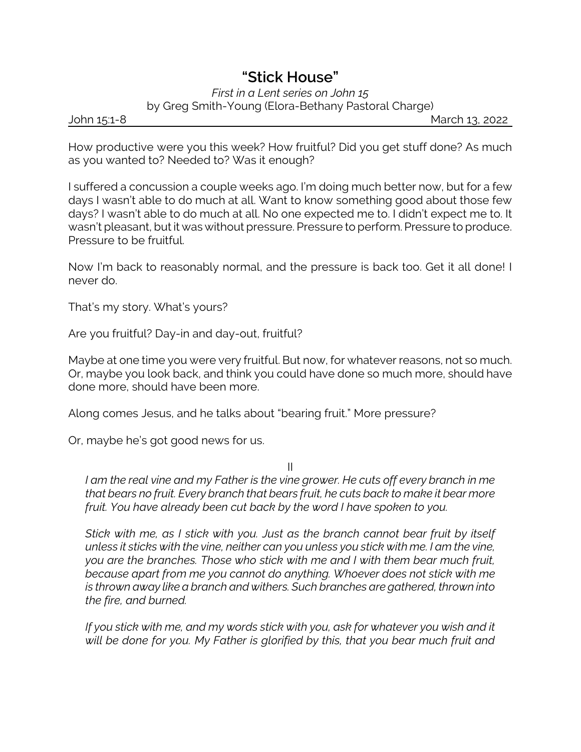## *"Stick House"*

## *First in a Lent series on John 15* by Greg Smith-Young (Elora-Bethany Pastoral Charge)

John 15:1-8 March 13, 2022

How productive were you this week? How fruitful? Did you get stuff done? As much as you wanted to? Needed to? Was it enough?

I suffered a concussion a couple weeks ago. I'm doing much better now, but for a few days I wasn't able to do much at all. Want to know something good about those few days? I wasn't able to do much at all. No one expected me to. I didn't expect me to. It wasn't pleasant, but it was without pressure. Pressure to perform. Pressure to produce. Pressure to be fruitful.

Now I'm back to reasonably normal, and the pressure is back too. Get it all done! I never do.

That's my story. What's yours?

Are you fruitful? Day-in and day-out, fruitful?

Maybe at one time you were very fruitful. But now, for whatever reasons, not so much. Or, maybe you look back, and think you could have done so much more, should have done more, should have been more.

Along comes Jesus, and he talks about "bearing fruit." More pressure?

Or, maybe he's got good news for us.

II

*I am the real vine and my Father is the vine grower. He cuts off every branch in me that bears no fruit. Every branch that bears fruit, he cuts back to make it bear more fruit. You have already been cut back by the word I have spoken to you.*

*Stick with me, as I stick with you. Just as the branch cannot bear fruit by itself unless it sticks with the vine, neither can you unless you stick with me. I am the vine, you are the branches. Those who stick with me and I with them bear much fruit, because apart from me you cannot do anything. Whoever does not stick with me is thrown away like a branch and withers. Such branches are gathered, thrown into the fire, and burned.*

*If you stick with me, and my words stick with you, ask for whatever you wish and it will be done for you. My Father is glorified by this, that you bear much fruit and*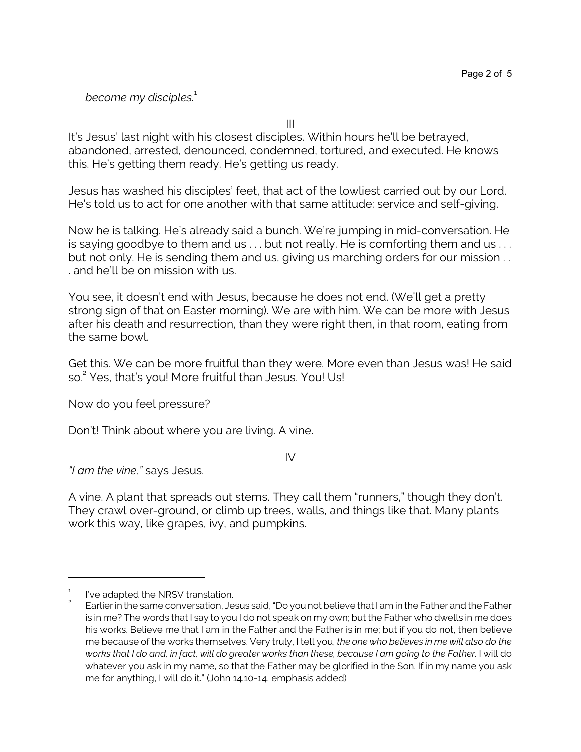*become my disciples.*<sup>1</sup>

III

It's Jesus' last night with his closest disciples. Within hours he'll be betrayed, abandoned, arrested, denounced, condemned, tortured, and executed. He knows this. He's getting them ready. He's getting us ready.

Jesus has washed his disciples' feet, that act of the lowliest carried out by our Lord. He's told us to act for one another with that same attitude: service and self-giving.

Now he is talking. He's already said a bunch. We're jumping in mid-conversation. He is saying goodbye to them and us . . . but not really. He is comforting them and us . . . but not only. He is sending them and us, giving us marching orders for our mission . . . and he'll be on mission with us.

You see, it doesn't end with Jesus, because he does not end. (We'll get a pretty strong sign of that on Easter morning). We are with him. We can be more with Jesus after his death and resurrection, than they were right then, in that room, eating from the same bowl.

Get this. We can be more fruitful than they were. More even than Jesus was! He said so. 2 Yes, that's you! More fruitful than Jesus. You! Us!

Now do you feel pressure?

Don't! Think about where you are living. A vine.

IV

*"I am the vine,"* says Jesus.

A vine. A plant that spreads out stems. They call them "runners," though they don't. They crawl over-ground, or climb up trees, walls, and things like that. Many plants work this way, like grapes, ivy, and pumpkins.

<sup>1</sup> I've adapted the NRSV translation.

<sup>2</sup> Earlier in the same conversation, Jesus said, "Do you not believe that I am in the Father and the Father is in me? The words that I say to you I do not speak on my own; but the Father who dwells in me does his works. Believe me that I am in the Father and the Father is in me; but if you do not, then believe me because of the works themselves. Very truly, I tell you, *the one who believes in me will also do the works that I do and, in fact, will do greater works than these, because I am going to the Father.* I will do whatever you ask in my name, so that the Father may be glorified in the Son. If in my name you ask me for anything, I will do it." (John 14.10-14, emphasis added)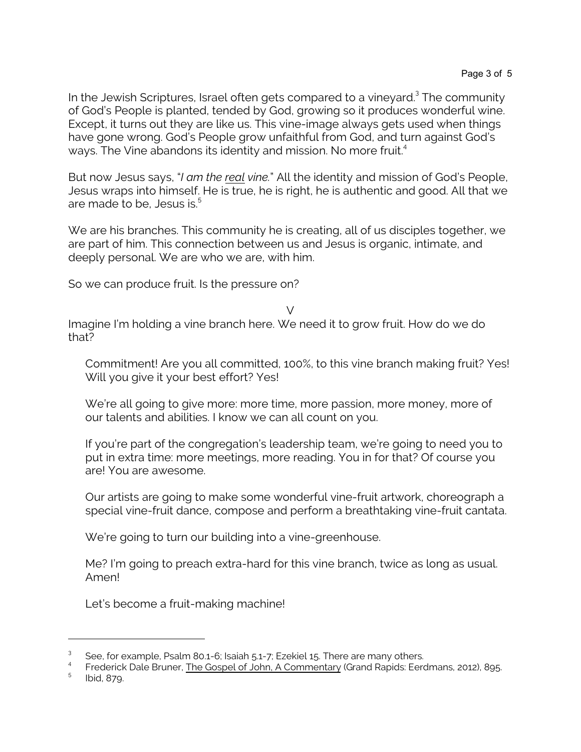In the Jewish Scriptures, Israel often gets compared to a vineyard.<sup>3</sup> The community of God's People is planted, tended by God, growing so it produces wonderful wine. Except, it turns out they are like us. This vine-image always gets used when things have gone wrong. God's People grow unfaithful from God, and turn against God's ways. The Vine abandons its identity and mission. No more fruit.<sup>4</sup>

But now Jesus says, "*I am the real vine.*" All the identity and mission of God's People, Jesus wraps into himself. He is true, he is right, he is authentic and good. All that we are made to be, Jesus is.<sup>5</sup>

We are his branches. This community he is creating, all of us disciples together, we are part of him. This connection between us and Jesus is organic, intimate, and deeply personal. We are who we are, with him.

So we can produce fruit. Is the pressure on?

 $\vee$ 

Imagine I'm holding a vine branch here. We need it to grow fruit. How do we do that?

Commitment! Are you all committed, 100%, to this vine branch making fruit? Yes! Will you give it your best effort? Yes!

We're all going to give more: more time, more passion, more money, more of our talents and abilities. I know we can all count on you.

If you're part of the congregation's leadership team, we're going to need you to put in extra time: more meetings, more reading. You in for that? Of course you are! You are awesome.

Our artists are going to make some wonderful vine-fruit artwork, choreograph a special vine-fruit dance, compose and perform a breathtaking vine-fruit cantata.

We're going to turn our building into a vine-greenhouse.

Me? I'm going to preach extra-hard for this vine branch, twice as long as usual. Amen!

Let's become a fruit-making machine!

<sup>3</sup> See, for example, Psalm 80.1-6; Isaiah 5.1-7; Ezekiel 15. There are many others.

<sup>4</sup> Frederick Dale Bruner, The Gospel of John, A Commentary (Grand Rapids: Eerdmans, 2012), 895.

<sup>5</sup> Ibid, 879.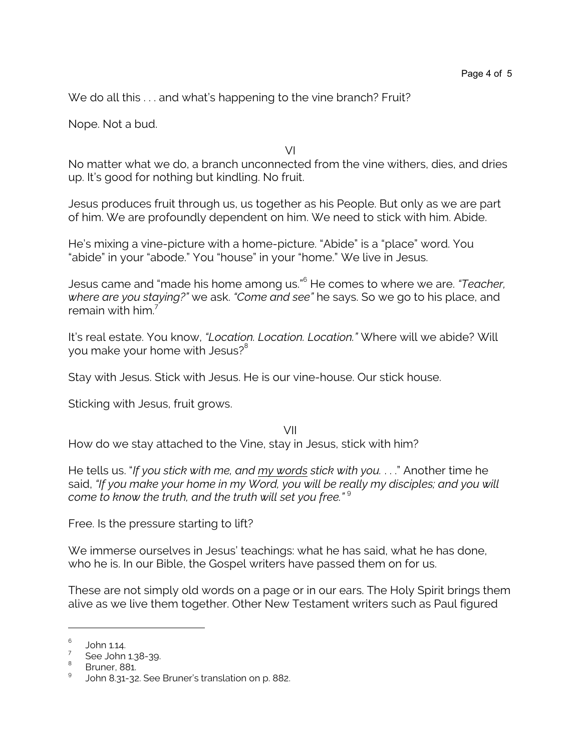We do all this ... and what's happening to the vine branch? Fruit?

Nope. Not a bud.

VI

No matter what we do, a branch unconnected from the vine withers, dies, and dries up. It's good for nothing but kindling. No fruit.

Jesus produces fruit through us, us together as his People. But only as we are part of him. We are profoundly dependent on him. We need to stick with him. Abide.

He's mixing a vine-picture with a home-picture. "Abide" is a "place" word. You "abide" in your "abode." You "house" in your "home." We live in Jesus.

Jesus came and "made his home among us."<sup>6</sup> He comes to where we are. *"Teacher, where are you staying?"* we ask. *"Come and see"* he says. So we go to his place, and remain with him<sup>7</sup>

It's real estate. You know, *"Location. Location. Location."* Where will we abide? Will you make your home with Jesus?<sup>8</sup>

Stay with Jesus. Stick with Jesus. He is our vine-house. Our stick house.

Sticking with Jesus, fruit grows.

VII How do we stay attached to the Vine, stay in Jesus, stick with him?

He tells us. "*If you stick with me, and my words stick with you.* . . ." Another time he said, "If you make your home in my Word, you will be really my disciples; and you will *come to know the truth, and the truth will set you free."* <sup>9</sup>

Free. Is the pressure starting to lift?

We immerse ourselves in Jesus' teachings: what he has said, what he has done, who he is. In our Bible, the Gospel writers have passed them on for us.

These are not simply old words on a page or in our ears. The Holy Spirit brings them alive as we live them together. Other New Testament writers such as Paul figured

<sup>6</sup> John 1.14.

<sup>7</sup> See John 1.38-39.

<sup>&</sup>lt;sup>8</sup> Bruner, 881.

John 8.31-32. See Bruner's translation on p. 882.